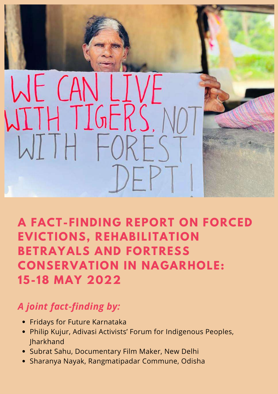

## **A FACT-FINDING REPORT ON FORCED EVICTIONS, REHABILITATION BETRAYALS AND FORTRESS CONSERVATION IN NAGARHOLE: 15-18 MAY 2022**

### *A joint fact-finding by:*

- Fridays for Future Karnataka
- Philip Kujur, Adivasi Activists' Forum for Indigenous Peoples, Jharkhand
- Subrat Sahu, Documentary Film Maker, New Delhi
- Sharanya Nayak, Rangmatipadar Commune, Odisha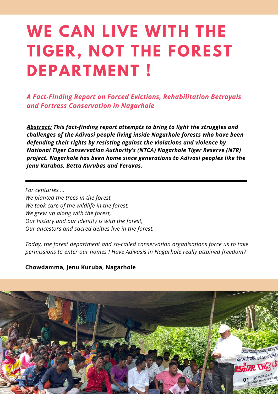# **WE CAN LIVE WITH THE TIGER, NOT THE FOREST DEPARTMENT !**

*A Fact-Finding Report on Forced Evictions, Rehabilitation Betrayals and Fortress Conservation in Nagarhole*

*Abstract: This fact-finding report attempts to bring to light the struggles and challenges of the Adivasi people living inside Nagarhole forests who have been defending their rights by resisting against the violations and violence by National Tiger Conservation Authority's (NTCA) Nagarhole Tiger Reserve (NTR) project. Nagarhole has been home since generations to Adivasi peoples like the Jenu Kurubas, Betta Kurubas and Yeravas.*

*For centuries … We planted the trees in the forest, We took care of the wildlife in the forest, We grew up along with the forest, Our history and our identity is with the forest, Our ancestors and sacred deities live in the forest.*

*Today, the forest department and so-called conservation organisations force us to take permissions to enter our homes ! Have Adivasis in Nagarhole really attained freedom?*

#### **Chowdamma, Jenu Kuruba, Nagarhole**

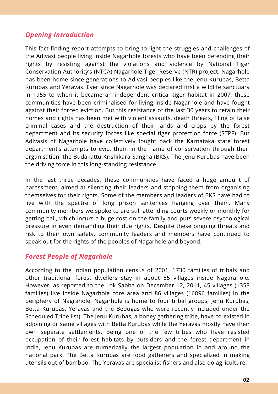#### *Opening Introduction*

This fact-finding report attempts to bring to light the struggles and challenges of the Adivasi people living inside Nagarhole forests who have been defending their rights by resisting against the violations and violence by National Tiger Conservation Authority's (NTCA) Nagarhole Tiger Reserve (NTR) project. Nagarhole has been home since generations to Adivasi peoples like the Jenu Kurubas, Betta Kurubas and Yeravas. Ever since Nagarhole was declared first a wildlife sanctuary in 1955 to when it became an independent critical tiger habitat in 2007, these communities have been criminalised for living inside Nagarhole and have fought against their forced eviction. But this resistance of the last 30 years to retain their homes and rights has been met with violent assaults, death threats, filing of false criminal cases and the destruction of their lands and crops by the forest department and its security forces like special tiger protection force (STPF). But Adivasis of Nagarhole have collectively fought back the Karnataka state forest department's attempts to evict them in the name of conservation through their organisation, the Budakattu Krishikara Sangha (BKS). The Jenu Kurubas have been the driving force in this long-standing resistance.

In the last three decades, these communities have faced a huge amount of harassment, aimed at silencing their leaders and stopping them from organising themselves for their rights. Some of the members and leaders of BKS have had to live with the spectre of long prison sentences hanging over them. Many community members we spoke to are still attending courts weekly or monthly for getting bail, which incurs a huge cost on the family and puts severe psychological pressure in even demanding their due rights. Despite these ongoing threats and risk to their own safety, community leaders and members have continued to speak out for the rights of the peoples of Nagarhole and beyond.

#### *Forest People of Nagarhole*

According to the Indian population census of 2001, 1730 families of tribals and other traditional forest dwellers stay in about 55 villages inside Nagarahole. However, as reported to the Lok Sabha on December 12, 2011, 45 villages (1353 families) live inside Nagarhole core area and 86 villages (16896 families) in the periphery of Nagrahole. Nagarhole is home to four tribal groups, Jenu Kurubas, Betta Kurubas, Yeravas and the Bedugas who were recently included under the Scheduled Tribe list). The Jenu Kurubas, a honey gathering tribe, have co-existed in adjoining or same villages with Betta Kurubas while the Yeravas mostly have their own separate settlements. Being one of the few tribes who have resisted occupation of their forest habitats by outsiders and the forest department in India, Jenu Kurubas are numerically the largest population in and around the national park. The Betta Kurubas are food gatherers and specialized in making utensils out of bamboo. The Yeravas are specialist fishers and also do agriculture.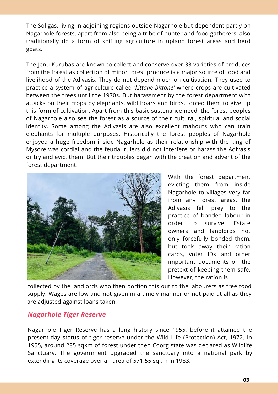The Soligas, living in adjoining regions outside Nagarhole but dependent partly on Nagarhole forests, apart from also being a tribe of hunter and food gatherers, also traditionally do a form of shifting agriculture in upland forest areas and herd goats.

The Jenu Kurubas are known to collect and conserve over 33 varieties of produces from the forest as collection of minor forest produce is a major source of food and livelihood of the Adivasis. They do not depend much on cultivation. They used to practice a system of agriculture called *'kittane bittane'* where crops are cultivated between the trees until the 1970s. But harassment by the forest department with attacks on their crops by elephants, wild boars and birds, forced them to give up this form of cultivation. Apart from this basic sustenance need, the forest peoples of Nagarhole also see the forest as a source of their cultural, spiritual and social identity. Some among the Adivasis are also excellent mahouts who can train elephants for multiple purposes. Historically the forest peoples of Nagarhole enjoyed a huge freedom inside Nagarhole as their relationship with the king of Mysore was cordial and the feudal rulers did not interfere or harass the Adivasis or try and evict them. But their troubles began with the creation and advent of the forest department.



With the forest department evicting them from inside Nagarhole to villages very far from any forest areas, the Adivasis fell prey to the practice of bonded labour in order to survive. Estate owners and landlords not only forcefully bonded them, but took away their ration cards, voter IDs and other important documents on the pretext of keeping them safe. However, the ration is

collected by the landlords who then portion this out to the labourers as free food supply. Wages are low and not given in a timely manner or not paid at all as they are adjusted against loans taken.

#### *Nagarhole Tiger Reserve*

Nagarhole Tiger Reserve has a long history since 1955, before it attained the present-day status of tiger reserve under the Wild Life (Protection) Act, 1972. In 1955, around 285 sqkm of forest under then Coorg state was declared as Wildlife Sanctuary. The government upgraded the sanctuary into a national park by extending its coverage over an area of 571.55 sqkm in 1983.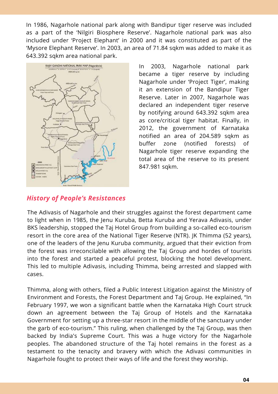In 1986, Nagarhole national park along with Bandipur tiger reserve was included as a part of the 'Nilgiri Biosphere Reserve'. Nagarhole national park was also included under 'Project Elephant' in 2000 and it was constituted as part of the 'Mysore Elephant Reserve'. In 2003, an area of 71.84 sqkm was added to make it as 643.392 sqkm area national park.



In 2003, Nagarhole national park became a tiger reserve by including Nagarhole under 'Project Tiger', making it an extension of the Bandipur Tiger Reserve. Later in 2007, Nagarhole was declared an independent tiger reserve by notifying around 643.392 sqkm area as core/critical tiger habitat. Finally, in 2012, the government of Karnataka notified an area of 204.589 sqkm as buffer zone (notified forests) of Nagarhole tiger reserve expanding the total area of the reserve to its present 847.981 sqkm.

#### *History of People's Resistances*

The Adivasis of Nagarhole and their struggles against the forest department came to light when in 1985, the Jenu Kuruba, Betta Kuruba and Yerava Adivasis, under BKS leadership, stopped the Taj Hotel Group from building a so-called eco-tourism resort in the core area of the National Tiger Reserve (NTR). JK Thimma (52 years), one of the leaders of the Jenu Kuruba community, argued that their eviction from the forest was irreconcilable with allowing the Taj Group and hordes of tourists into the forest and started a peaceful protest, blocking the hotel development. This led to multiple Adivasis, including Thimma, being arrested and slapped with cases.

Thimma, along with others, filed a Public Interest Litigation against the Ministry of Environment and Forests, the Forest Department and Taj Group. He explained, "In February 1997, we won a significant battle when the Karnataka High Court struck down an agreement between the Taj Group of Hotels and the Karnataka Government for setting up a three-star resort in the middle of the sanctuary under the garb of eco-tourism." This ruling, when challenged by the Taj Group, was then backed by India's Supreme Court. This was a huge victory for the Nagarhole peoples. The abandoned structure of the Taj hotel remains in the forest as a testament to the tenacity and bravery with which the Adivasi communities in Nagarhole fought to protect their ways of life and the forest they worship.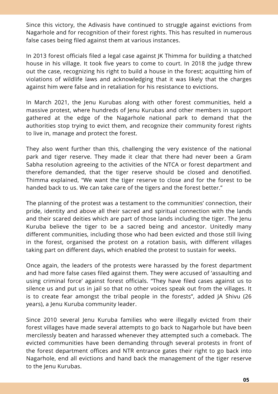Since this victory, the Adivasis have continued to struggle against evictions from Nagarhole and for recognition of their forest rights. This has resulted in numerous false cases being filed against them at various instances.

In 2013 forest officials filed a legal case against JK Thimma for building a thatched house in his village. It took five years to come to court. In 2018 the judge threw out the case, recognizing his right to build a house in the forest; acquitting him of violations of wildlife laws and acknowledging that it was likely that the charges against him were false and in retaliation for his resistance to evictions.

In March 2021, the Jenu Kurubas along with other forest communities, held a massive protest, where hundreds of Jenu Kurubas and other members in support gathered at the edge of the Nagarhole national park to demand that the authorities stop trying to evict them, and recognize their community forest rights to live in, manage and protect the forest.

They also went further than this, challenging the very existence of the national park and tiger reserve. They made it clear that there had never been a Gram Sabha resolution agreeing to the activities of the NTCA or forest department and therefore demanded, that the tiger reserve should be closed and denotified. Thimma explained, "We want the tiger reserve to close and for the forest to be handed back to us. We can take care of the tigers and the forest better."

The planning of the protest was a testament to the communities' connection, their pride, identity and above all their sacred and spiritual connection with the lands and their scared deities which are part of those lands including the tiger. The Jenu Kuruba believe the tiger to be a sacred being and ancestor. Unitedly many different communities, including those who had been evicted and those still living in the forest, organised the protest on a rotation basis, with different villages taking part on different days, which enabled the protest to sustain for weeks.

Once again, the leaders of the protests were harassed by the forest department and had more false cases filed against them. They were accused of 'assaulting and using criminal force' against forest officials. "They have filed cases against us to silence us and put us in jail so that no other voices speak out from the villages. It is to create fear amongst the tribal people in the forests", added JA Shivu (26 years), a Jenu Kuruba community leader.

Since 2010 several Jenu Kuruba families who were illegally evicted from their forest villages have made several attempts to go back to Nagarhole but have been mercilessly beaten and harassed whenever they attempted such a comeback. The evicted communities have been demanding through several protests in front of the forest department offices and NTR entrance gates their right to go back into Nagarhole, end all evictions and hand back the management of the tiger reserve to the Jenu Kurubas.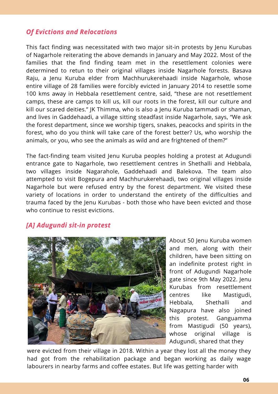#### *Of Evictions and Relocations*

This fact finding was necessitated with two major sit-in protests by Jenu Kurubas of Nagarhole reiterating the above demands in January and May 2022. Most of the families that the find finding team met in the resettlement colonies were determined to retun to their original villages inside Nagarhole forests. Basava Raju, a Jenu Kuruba elder from Machhurukerehaadi inside Nagarhole, whose entire village of 28 families were forcibly evicted in January 2014 to resettle some 100 kms away in Hebbala resettlement centre, said, "these are not resettlement camps, these are camps to kill us, kill our roots in the forest, kill our culture and kill our scared deities." JK Thimma, who is also a Jenu Kuruba tammadi or shaman, and lives in Gaddehaadi, a village sitting steadfast inside Nagarhole, says, "We ask the forest department, since we worship tigers, snakes, peacocks and spirits in the forest, who do you think will take care of the forest better? Us, who worship the animals, or you, who see the animals as wild and are frightened of them?"

The fact-finding team visited Jenu Kuruba peoples holding a protest at Adugundi entrance gate to Nagarhole, two resettlement centres in Shethalli and Hebbala, two villages inside Nagarahole, Gaddehaadi and Balekova. The team also attempted to visit Bogepura and Machhurukerehaadi, two original villages inside Nagarhole but were refused entry by the forest department. We visited these variety of locations in order to understand the entirety of the difficulties and trauma faced by the Jenu Kurubas - both those who have been evicted and those who continue to resist evictions.

#### *[A] Adugundi sit-in protest*



About 50 Jenu Kuruba women and men, along with their children, have been sitting on an indefinite protest right in front of Adugundi Nagarhole gate since 9th May 2022. Jenu Kurubas from resettlement centres like Mastigudi, Hebbala, Shethalli and Nagapura have also joined this protest. Ganguamma from Mastigudi (50 years), whose original village is Adugundi, shared that they

were evicted from their village in 2018. Within a year they lost all the money they had got from the rehabilitation package and began working as daily wage labourers in nearby farms and coffee estates. But life was getting harder with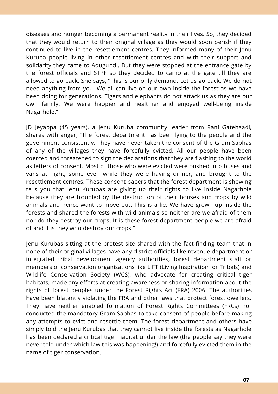diseases and hunger becoming a permanent reality in their lives. So, they decided that they would return to their original village as they would soon perish if they continued to live in the resettlement centres. They informed many of their Jenu Kuruba people living in other resettlement centres and with their support and solidarity they came to Adugundi. But they were stopped at the entrance gate by the forest officials and STPF so they decided to camp at the gate till they are allowed to go back. She says, "This is our only demand. Let us go back. We do not need anything from you. We all can live on our own inside the forest as we have been doing for generations. Tigers and elephants do not attack us as they are our own family. We were happier and healthier and enjoyed well-being inside Nagarhole."

JD Jeyappa (45 years), a Jenu Kuruba community leader from Rani Gatehaadi, shares with anger, "The forest department has been lying to the people and the government consistently. They have never taken the consent of the Gram Sabhas of any of the villages they have forcefully evicted. All our people have been coerced and threatened to sign the declarations that they are flashing to the world as letters of consent. Most of those who were evicted were pushed into buses and vans at night, some even while they were having dinner, and brought to the resettlement centres. These consent papers that the forest department is showing tells you that Jenu Kurubas are giving up their rights to live inside Nagarhole because they are troubled by the destruction of their houses and crops by wild animals and hence want to move out. This is a lie. We have grown up inside the forests and shared the forests with wild animals so neither are we afraid of them nor do they destroy our crops. It is these forest department people we are afraid of and it is they who destroy our crops."

Jenu Kurubas sitting at the protest site shared with the fact-finding team that in none of their original villages have any district officials like revenue department or integrated tribal development agency authorities, forest department staff or members of conservation organisations like LIFT (Living Inspiration for Tribals) and Wildlife Conservation Society (WCS), who advocate for creating critical tiger habitats, made any efforts at creating awareness or sharing information about the rights of forest peoples under the Forest Rights Act (FRA) 2006. The authorities have been blatantly violating the FRA and other laws that protect forest dwellers. They have neither enabled formation of Forest Rights Committees (FRCs) nor conducted the mandatory Gram Sabhas to take consent of people before making any attempts to evict and resettle them. The forest department and others have simply told the Jenu Kurubas that they cannot live inside the forests as Nagarhole has been declared a critical tiger habitat under the law (the people say they were never told under which law this was happening!) and forcefully evicted them in the name of tiger conservation.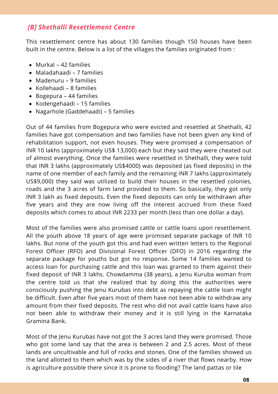#### *[B] Shethalli Resettlement Centre*

This resettlement centre has about 130 families though 150 houses have been built in the centre. Below is a list of the villages the families originated from :

- Murkal 42 families
- Maladahaadi 7 families
- Madenuru 9 families
- Kollehaadi 8 families
- Bogepura 44 families
- Kodengehaadi 15 families
- Nagarhole (Gaddehaadi) 5 families

Out of 44 families from Bogepura who were evicted and resettled at Shethalli, 42 families have got compensation and two families have not been given any kind of rehabilitation support, not even houses. They were promised a compensation of INR 10 lakhs (approximately US\$ 13,000) each but they said they were cheated out of almost everything. Once the families were resettled in Shethalli, they were told that INR 3 lakhs (approximately US\$4000) was deposited (as fixed deposits) in the name of one member of each family and the remaining INR 7 lakhs (approximately US\$9,000) they said was utilized to build their houses in the resettled colonies, roads and the 3 acres of farm land provided to them. So basically, they got only INR 3 lakh as fixed deposits. Even the fixed deposits can only be withdrawn after five years and they are now living off the interest accrued from these fixed deposits which comes to about INR 2233 per month (less than one dollar a day).

Most of the families were also promised cattle or cattle loans upon resettlement. All the youth above 18 years of age were promised separate package of INR 10 lakhs. But none of the youth got this and had even written letters to the Regional Forest Officer (RFO) and Divisional Forest Officer (DFO) in 2016 regarding the separate package for youths but got no response. Some 14 families wanted to access loan for purchasing cattle and this loan was granted to them against their fixed deposit of INR 3 lakhs. Chowdamma (38 years), a Jenu Kuruba woman from the centre told us that she realized that by doing this the authorities were consciously pushing the Jenu Kurubas into debt as repaying the cattle loan might be difficult. Even after five years most of them have not been able to withdraw any amount from their fixed deposits. The rest who did not avail cattle loans have also not been able to withdraw their money and it is still lying in the Karnataka Gramina Bank.

Most of the Jenu Kurubas have not got the 3 acres land they were promised. Those who got some land say that the area is between 2 and 2.5 acres. Most of these lands are uncultivable and full of rocks and stones. One of the families showed us the land allotted to them which was by the sides of a river that flows nearby. How is agriculture possible there since it is prone to flooding? The land pattas or tile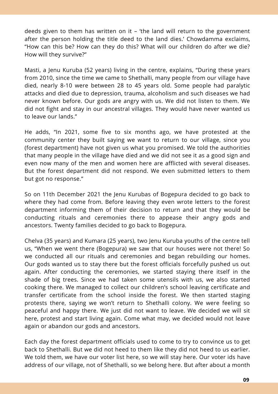deeds given to them has written on it – 'the land will return to the government after the person holding the title deed to the land dies.' Chowdamma exclaims, "How can this be? How can they do this? What will our children do after we die? How will they survive?"

Masti, a Jenu Kuruba (52 years) living in the centre, explains, "During these years from 2010, since the time we came to Shethalli, many people from our village have died, nearly 8-10 were between 28 to 45 years old. Some people had paralytic attacks and died due to depression, trauma, alcoholism and such diseases we had never known before. Our gods are angry with us. We did not listen to them. We did not fight and stay in our ancestral villages. They would have never wanted us to leave our lands."

He adds, "In 2021, some five to six months ago, we have protested at the community center they built saying we want to return to our village, since you (forest department) have not given us what you promised. We told the authorities that many people in the village have died and we did not see it as a good sign and even now many of the men and women here are afflicted with several diseases. But the forest department did not respond. We even submitted letters to them but got no response."

So on 11th December 2021 the Jenu Kurubas of Bogepura decided to go back to where they had come from. Before leaving they even wrote letters to the forest department informing them of their decision to return and that they would be conducting rituals and ceremonies there to appease their angry gods and ancestors. Twenty families decided to go back to Bogepura.

Chelva (35 years) and Kumara (25 years), two Jenu Kuruba youths of the centre tell us, "When we went there (Bogepura) we saw that our houses were not there! So we conducted all our rituals and ceremonies and began rebuilding our homes. Our gods wanted us to stay there but the forest officials forcefully pushed us out again. After conducting the ceremonies, we started staying there itself in the shade of big trees. Since we had taken some utensils with us, we also started cooking there. We managed to collect our children's school leaving certificate and transfer certificate from the school inside the forest. We then started staging protests there, saying we won't return to Shethalli colony. We were feeling so peaceful and happy there. We just did not want to leave. We decided we will sit here, protest and start living again. Come what may, we decided would not leave again or abandon our gods and ancestors.

Each day the forest department officials used to come to try to convince us to get back to Shethalli. But we did not heed to them like they did not heed to us earlier. We told them, we have our voter list here, so we will stay here. Our voter ids have address of our village, not of Shethalli, so we belong here. But after about a month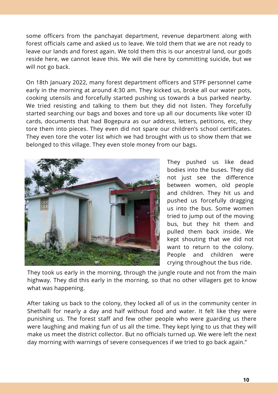some officers from the panchayat department, revenue department along with forest officials came and asked us to leave. We told them that we are not ready to leave our lands and forest again. We told them this is our ancestral land, our gods reside here, we cannot leave this. We will die here by committing suicide, but we will not go back.

On 18th January 2022, many forest department officers and STPF personnel came early in the morning at around 4:30 am. They kicked us, broke all our water pots, cooking utensils and forcefully started pushing us towards a bus parked nearby. We tried resisting and talking to them but they did not listen. They forcefully started searching our bags and boxes and tore up all our documents like voter ID cards, documents that had Bogepura as our address, letters, petitions, etc, they tore them into pieces. They even did not spare our children's school certificates. They even tore the voter list which we had brought with us to show them that we belonged to this village. They even stole money from our bags.



They pushed us like dead bodies into the buses. They did not just see the difference between women, old people and children. They hit us and pushed us forcefully dragging us into the bus. Some women tried to jump out of the moving bus, but they hit them and pulled them back inside. We kept shouting that we did not want to return to the colony. People and children were crying throughout the bus ride.

They took us early in the morning, through the jungle route and not from the main highway. They did this early in the morning, so that no other villagers get to know what was happening.

After taking us back to the colony, they locked all of us in the community center in Shethalli for nearly a day and half without food and water. It felt like they were punishing us. The forest staff and few other people who were guarding us there were laughing and making fun of us all the time. They kept lying to us that they will make us meet the district collector. But no officials turned up. We were left the next day morning with warnings of severe consequences if we tried to go back again."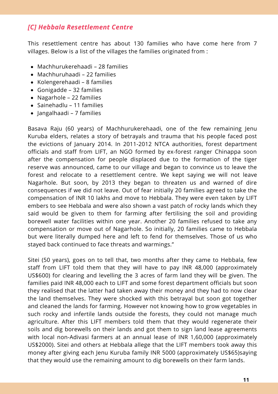#### *[C] Hebbala Resettlement Centre*

This resettlement centre has about 130 families who have come here from 7 villages. Below is a list of the villages the families originated from :

- Machhurukerehaadi 28 families
- Machhuruhaadi 22 families
- Kolengerehaadi 8 families
- Gonigadde 32 families
- Nagarhole 22 families
- Sainehadlu 11 families
- Jangalhaadi 7 families

Basava Raju (60 years) of Machhurukerehaadi, one of the few remaining Jenu Kuruba elders, relates a story of betrayals and trauma that his people faced post the evictions of January 2014. In 2011-2012 NTCA authorities, forest department officials and staff from LIFT, an NGO formed by ex-forest ranger Chinappa soon after the compensation for people displaced due to the formation of the tiger reserve was announced, came to our village and began to convince us to leave the forest and relocate to a resettlement centre. We kept saying we will not leave Nagarhole. But soon, by 2013 they began to threaten us and warned of dire consequences if we did not leave. Out of fear initially 20 families agreed to take the compensation of INR 10 lakhs and move to Hebbala. They were even taken by LIFT embers to see Hebbala and were also shown a vast patch of rocky lands which they said would be given to them for farming after fertilising the soil and providing borewell water facilities within one year. Another 20 families refused to take any compensation or move out of Nagarhole. So initially, 20 families came to Hebbala but were literally dumped here and left to fend for themselves. Those of us who stayed back continued to face threats and warmings."

Sitei (50 years), goes on to tell that, two months after they came to Hebbala, few staff from LIFT told them that they will have to pay INR 48,000 (approximately US\$600) for clearing and levelling the 3 acres of farm land they will be given. The families paid INR 48,000 each to LIFT and some forest department officials but soon they realised that the latter had taken away their money and they had to now clear the land themselves. They were shocked with this betrayal but soon got together and cleaned the lands for farming. However not knowing how to grow vegetables in such rocky and infertile lands outside the forests, they could not manage much agriculture. After this LIFT members told them that they would regenerate their soils and dig borewells on their lands and got them to sign land lease agreements with local non-Adivasi farmers at an annual lease of INR 1,60,000 (approximately US\$2000). Sitei and others at Hebbala allege that the LIFT members took away this money after giving each Jenu Kuruba family INR 5000 (approximately US\$65)saying that they would use the remaining amount to dig borewells on their farm lands.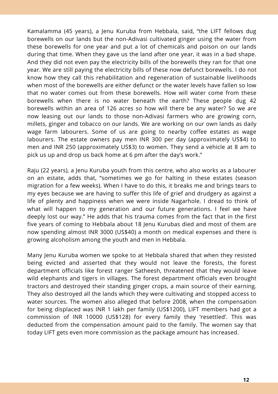Kamalamma (45 years), a Jenu Kuruba from Hebbala, said, "the LIFT fellows dug borewells on our lands but the non-Adivasi cultivated ginger using the water from these borewells for one year and put a lot of chemicals and poison on our lands during that time. When they gave us the land after one year, it was in a bad shape. And they did not even pay the electricity bills of the borewells they ran for that one year. We are still paying the electricity bills of these now defunct borewells. I do not know how they call this rehabilitation and regeneration of sustainable livelihoods when most of the borewells are either defunct or the water levels have fallen so low that no water comes out from these borewells. How will water come from these borewells when there is no water beneath the earth? These people dug 42 borewells within an area of 126 acres so how will there be any water? So we are now leasing out our lands to those non-Adivasi farmers who are growing corn, millets, ginger and tobacco on our lands. We are working on our own lands as daily wage farm labourers. Some of us are going to nearby coffee estates as wage labourers. The estate owners pay men INR 300 per day (approximately US\$4) to men and INR 250 (approximately US\$3) to women. They send a vehicle at 8 am to pick us up and drop us back home at 6 pm after the day's work."

Raju (22 years), a Jenu Kuruba youth from this centre, who also works as a labourer on an estate, adds that, "sometimes we go for halting in these estates (season migration for a few weeks). When I have to do this, it breaks me and brings tears to my eyes because we are having to suffer this life of grief and drudgery as against a life of plenty and happiness when we were inside Nagarhole. I dread to think of what will happen to my generation and our future generations. I feel we have deeply lost our way." He adds that his trauma comes from the fact that in the first five years of coming to Hebbala about 18 Jenu Kurubas died and most of them are now spending almost INR 3000 (US\$40) a month on medical expenses and there is growing alcoholism among the youth and men in Hebbala.

Many Jenu Kuruba women we spoke to at Hebbala shared that when they resisted being evicted and asserted that they would not leave the forests, the forest department officials like forest ranger Satheesh, threatened that they would leave wild elephants and tigers in villages. The forest department officials even brought tractors and destroyed their standing ginger crops, a main source of their earning. They also destroyed all the lands which they were cultivating and stopped access to water sources. The women also alleged that before 2008, when the compensation for being displaced was INR 1 lakh per family (US\$1200), LIFT members had got a commission of INR 10000 (US\$128) for every family they 'resettled'. This was deducted from the compensation amount paid to the family. The women say that today LIFT gets even more commission as the package amount has increased.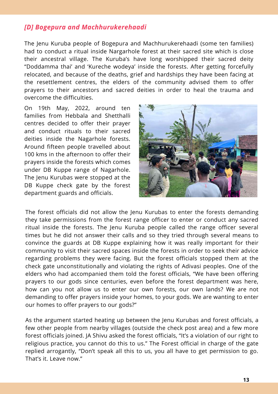#### *[D] Bogepura and Machhurukerehaadi*

The Jenu Kuruba people of Bogepura and Machhurukerehaadi (some ten families) had to conduct a ritual inside Nargarhole forest at their sacred site which is close their ancestral village. The Kuruba's have long worshipped their sacred deity "Doddamma thai' and 'Kureche wodeya' inside the forests. After getting forcefully relocated, and because of the deaths, grief and hardships they have been facing at the resettlement centres, the elders of the community advised them to offer prayers to their ancestors and sacred deities in order to heal the trauma and overcome the difficulties.

On 19th May, 2022, around ten families from Hebbala and Shetthalli centres decided to offer their prayer and conduct rituals to their sacred deities inside the Nagarhole forests. Around fifteen people travelled about 100 kms in the afternoon to offer their prayers inside the forests which comes under DB Kuppe range of Nagarhole. The Jenu Kurubas were stopped at the DB Kuppe check gate by the forest department guards and officials.



The forest officials did not allow the Jenu Kurubas to enter the forests demanding they take permissions from the forest range officer to enter or conduct any sacred ritual inside the forests. The Jenu Kuruba people called the range officer several times but he did not answer their calls and so they tried through several means to convince the guards at DB Kuppe explaining how it was really important for their community to visit their sacred spaces inside the forests in order to seek their advice regarding problems they were facing. But the forest officials stopped them at the check gate unconstitutionally and violating the rights of Adivasi peoples. One of the elders who had accompanied them told the forest officials, "We have been offering prayers to our gods since centuries, even before the forest department was here, how can you not allow us to enter our own forests, our own lands? We are not demanding to offer prayers inside your homes, to your gods. We are wanting to enter our homes to offer prayers to our gods?"

As the argument started heating up between the Jenu Kurubas and forest officials, a few other people from nearby villages (outside the check post area) and a few more forest officials joined. JA Shivu asked the forest officials, "It's a violation of our right to religious practice, you cannot do this to us." The Forest official in charge of the gate replied arrogantly, "Don't speak all this to us, you all have to get permission to go. That's it. Leave now."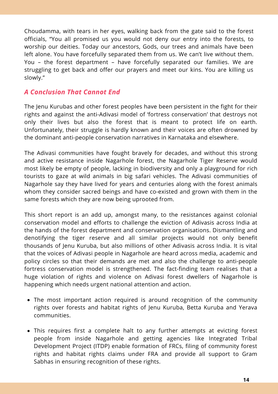Choudamma, with tears in her eyes, walking back from the gate said to the forest officials, "You all promised us you would not deny our entry into the forests, to worship our deities. Today our ancestors, Gods, our trees and animals have been left alone. You have forcefully separated them from us. We can't live without them. You – the forest department – have forcefully separated our families. We are struggling to get back and offer our prayers and meet our kins. You are killing us slowly."

#### *A Conclusion That Cannot End*

The Jenu Kurubas and other forest peoples have been persistent in the fight for their rights and against the anti-Adivasi model of 'fortress conservation' that destroys not only their lives but also the forest that is meant to protect life on earth. Unfortunately, their struggle is hardly known and their voices are often drowned by the dominant anti-people conservation narratives in Karnataka and elsewhere.

The Adivasi communities have fought bravely for decades, and without this strong and active resistance inside Nagarhole forest, the Nagarhole Tiger Reserve would most likely be empty of people, lacking in biodiversity and only a playground for rich tourists to gaze at wild animals in big safari vehicles. The Adivasi communities of Nagarhole say they have lived for years and centuries along with the forest animals whom they consider sacred beings and have co-existed and grown with them in the same forests which they are now being uprooted from.

This short report is an add up, amongst many, to the resistances against colonial conservation model and efforts to challenge the eviction of Adivasis across India at the hands of the forest department and conservation organisations. Dismantling and denotifying the tiger reserve and all similar projects would not only benefit thousands of Jenu Kuruba, but also millions of other Adivasis across India. It is vital that the voices of Adivasi people in Nagarhole are heard across media, academic and policy circles so that their demands are met and also the challenge to anti-people fortress conservation model is strengthened. The fact-finding team realises that a huge violation of rights and violence on Adivasi forest dwellers of Nagarhole is happening which needs urgent national attention and action.

- The most important action required is around recognition of the community rights over forests and habitat rights of Jenu Kuruba, Betta Kuruba and Yerava communities.
- This requires first a complete halt to any further attempts at evicting forest people from inside Nagarhole and getting agencies like Integrated Tribal Development Project (ITDP) enable formation of FRCs, filing of community forest rights and habitat rights claims under FRA and provide all support to Gram Sabhas in ensuring recognition of these rights.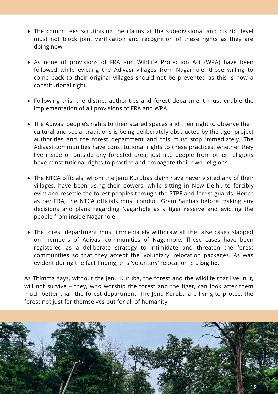- The committees scrutinising the claims at the sub-divisional and district level must not block joint verification and recognition of these rights as they are doing now.
- As none of provisions of FRA and Wildlife Protection Act (WPA) have been followed while evicting the Adivasi villages from Nagarhole, those willing to come back to their original villages should not be prevented as this is now a constitutional right.
- Following this, the district authorities and forest department must enable the implementation of all provisions of FRA and WPA.
- The Adivasi people's rights to their scared spaces and their right to observe their cultural and social traditions is being deliberately obstructed by the tiger project authorities and the forest department and this must stop immediately. The Adivasi communities have constitutional rights to these practices, whether they live inside or outside any forested area, just like people from other religions have constitutional rights to practice and propagate their own religions.
- The NTCA officials, whom the Jenu Kurubas claim have never visited any of their villages, have been using their powers, while sitting in New Delhi, to forcibly evict and resettle the forest peoples through the STPF and forest guards. Hence as per FRA, the NTCA officials must conduct Gram Sabhas before making any decisions and plans regarding Nagarhole as a tiger reserve and evicting the people from inside Nagarhole.
- The forest department must immediately withdraw all the false cases slapped on members of Adivasi communities of Nagarhole. These cases have been registered as a deliberate strategy to intimidate and threaten the forest communities so that they accept the 'voluntary' relocation packages. As was evident during the fact finding, this 'voluntary' relocation is a **big lie**.

As Thimma says, without the Jenu Kuruba, the forest and the wildlife that live in it, will not survive – they, who worship the forest and the tiger, can look after them much better than the forest department. The Jenu Kuruba are living to protect the forest not just for themselves but for all of humanity.